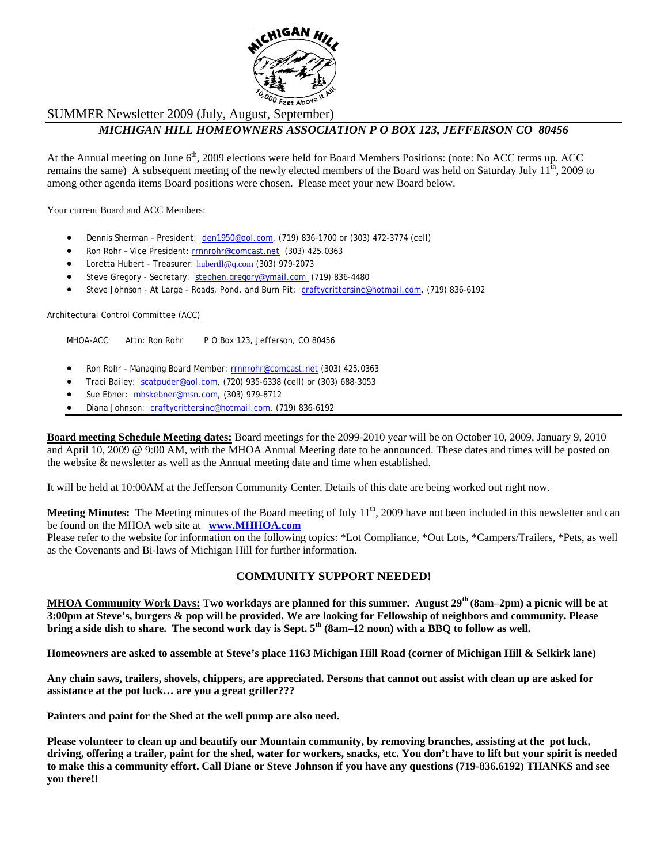

## SUMMER Newsletter 2009 (July, August, September)

# *MICHIGAN HILL HOMEOWNERS ASSOCIATION P O BOX 123, JEFFERSON CO 80456*

At the Annual meeting on June  $6<sup>th</sup>$ , 2009 elections were held for Board Members Positions: (note: No ACC terms up. ACC remains the same) A subsequent meeting of the newly elected members of the Board was held on Saturday July  $11<sup>th</sup>$ , 2009 to among other agenda items Board positions were chosen. Please meet your new Board below.

Your current Board and ACC Members:

- Dennis Sherman President: den1950@aol.com, (719) 836-1700 or (303) 472-3774 (cell)
- Ron Rohr Vice President: rrnnrohr@comcast.net (303) 425.0363
- Loretta Hubert Treasurer: hubertll@q.com (303) 979-2073
- Steve Gregory Secretary: stephen.gregory@ymail.com (719) 836-4480
- Steve Johnson At Large Roads, Pond, and Burn Pit: craftycrittersinc@hotmail.com, (719) 836-6192

Architectural Control Committee (ACC)

MHOA-ACC Attn: Ron Rohr P O Box 123, Jefferson, CO 80456

- Ron Rohr Managing Board Member: rrnnrohr@comcast.net (303) 425.0363
- Traci Bailey: scatpuder@aol.com, (720) 935-6338 (cell) or (303) 688-3053
- Sue Ebner: mhskebner@msn.com, (303) 979-8712
- Diana Johnson: craftycrittersinc@hotmail.com, (719) 836-6192

**Board meeting Schedule Meeting dates:** Board meetings for the 2099-2010 year will be on October 10, 2009, January 9, 2010 and April 10, 2009 @ 9:00 AM, with the MHOA Annual Meeting date to be announced. These dates and times will be posted on the website & newsletter as well as the Annual meeting date and time when established.

It will be held at 10:00AM at the Jefferson Community Center. Details of this date are being worked out right now.

**Meeting Minutes:** The Meeting minutes of the Board meeting of July 11<sup>th</sup>, 2009 have not been included in this newsletter and can be found on the MHOA web site at **www.MHHOA.com** 

Please refer to the website for information on the following topics: \*Lot Compliance, \*Out Lots, \*Campers/Trailers, \*Pets, as well as the Covenants and Bi-laws of Michigan Hill for further information.

## **COMMUNITY SUPPORT NEEDED!**

**MHOA Community Work Days: Two workdays are planned for this summer. August 29th (8am–2pm) a picnic will be at 3:00pm at Steve's, burgers & pop will be provided. We are looking for Fellowship of neighbors and community. Please**  bring a side dish to share. The second work day is Sept.  $5<sup>th</sup>$  (8am–12 noon) with a BBQ to follow as well.

**Homeowners are asked to assemble at Steve's place 1163 Michigan Hill Road (corner of Michigan Hill & Selkirk lane)** 

**Any chain saws, trailers, shovels, chippers, are appreciated. Persons that cannot out assist with clean up are asked for assistance at the pot luck… are you a great griller???** 

**Painters and paint for the Shed at the well pump are also need.** 

**Please volunteer to clean up and beautify our Mountain community, by removing branches, assisting at the pot luck, driving, offering a trailer, paint for the shed, water for workers, snacks, etc. You don't have to lift but your spirit is needed to make this a community effort. Call Diane or Steve Johnson if you have any questions (719-836.6192) THANKS and see you there!!**